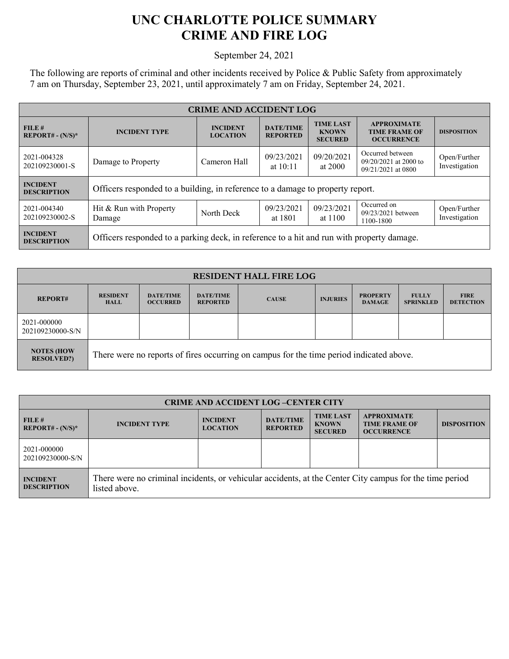## **UNC CHARLOTTE POLICE SUMMARY CRIME AND FIRE LOG**

September 24, 2021

The following are reports of criminal and other incidents received by Police & Public Safety from approximately 7 am on Thursday, September 23, 2021, until approximately 7 am on Friday, September 24, 2021.

| <b>CRIME AND ACCIDENT LOG</b>         |                                                                                           |                                    |                                     |                                                    |                                                                   |                               |  |
|---------------------------------------|-------------------------------------------------------------------------------------------|------------------------------------|-------------------------------------|----------------------------------------------------|-------------------------------------------------------------------|-------------------------------|--|
| FILE #<br>$REPORT# - (N/S)*$          | <b>INCIDENT TYPE</b>                                                                      | <b>INCIDENT</b><br><b>LOCATION</b> | <b>DATE/TIME</b><br><b>REPORTED</b> | <b>TIME LAST</b><br><b>KNOWN</b><br><b>SECURED</b> | <b>APPROXIMATE</b><br><b>TIME FRAME OF</b><br><b>OCCURRENCE</b>   | <b>DISPOSITION</b>            |  |
| 2021-004328<br>202109230001-S         | Damage to Property                                                                        | Cameron Hall                       | 09/23/2021<br>at $10:11$            | 09/20/2021<br>at 2000                              | Occurred between<br>$09/20/2021$ at 2000 to<br>09/21/2021 at 0800 | Open/Further<br>Investigation |  |
| <b>INCIDENT</b><br><b>DESCRIPTION</b> | Officers responded to a building, in reference to a damage to property report.            |                                    |                                     |                                                    |                                                                   |                               |  |
| 2021-004340<br>202109230002-S         | Hit & Run with Property<br>Damage                                                         | North Deck                         | 09/23/2021<br>at 1801               | 09/23/2021<br>at 1100                              | Occurred on<br>09/23/2021 between<br>1100-1800                    | Open/Further<br>Investigation |  |
| <b>INCIDENT</b><br><b>DESCRIPTION</b> | Officers responded to a parking deck, in reference to a hit and run with property damage. |                                    |                                     |                                                    |                                                                   |                               |  |

| <b>RESIDENT HALL FIRE LOG</b>          |                                                                                         |                                     |                                     |              |                 |                                  |                                  |                                 |
|----------------------------------------|-----------------------------------------------------------------------------------------|-------------------------------------|-------------------------------------|--------------|-----------------|----------------------------------|----------------------------------|---------------------------------|
| <b>REPORT#</b>                         | <b>RESIDENT</b><br><b>HALL</b>                                                          | <b>DATE/TIME</b><br><b>OCCURRED</b> | <b>DATE/TIME</b><br><b>REPORTED</b> | <b>CAUSE</b> | <b>INJURIES</b> | <b>PROPERTY</b><br><b>DAMAGE</b> | <b>FULLY</b><br><b>SPRINKLED</b> | <b>FIRE</b><br><b>DETECTION</b> |
| 2021-000000<br>202109230000-S/N        |                                                                                         |                                     |                                     |              |                 |                                  |                                  |                                 |
| <b>NOTES (HOW</b><br><b>RESOLVED?)</b> | There were no reports of fires occurring on campus for the time period indicated above. |                                     |                                     |              |                 |                                  |                                  |                                 |

| <b>CRIME AND ACCIDENT LOG-CENTER CITY</b> |                                                                                                                          |                                    |                                     |                                                    |                                                                 |                    |  |
|-------------------------------------------|--------------------------------------------------------------------------------------------------------------------------|------------------------------------|-------------------------------------|----------------------------------------------------|-----------------------------------------------------------------|--------------------|--|
| FILE#<br>$REPORT# - (N/S)*$               | <b>INCIDENT TYPE</b>                                                                                                     | <b>INCIDENT</b><br><b>LOCATION</b> | <b>DATE/TIME</b><br><b>REPORTED</b> | <b>TIME LAST</b><br><b>KNOWN</b><br><b>SECURED</b> | <b>APPROXIMATE</b><br><b>TIME FRAME OF</b><br><b>OCCURRENCE</b> | <b>DISPOSITION</b> |  |
| 2021-000000<br>202109230000-S/N           |                                                                                                                          |                                    |                                     |                                                    |                                                                 |                    |  |
| <b>INCIDENT</b><br><b>DESCRIPTION</b>     | There were no criminal incidents, or vehicular accidents, at the Center City campus for the time period<br>listed above. |                                    |                                     |                                                    |                                                                 |                    |  |